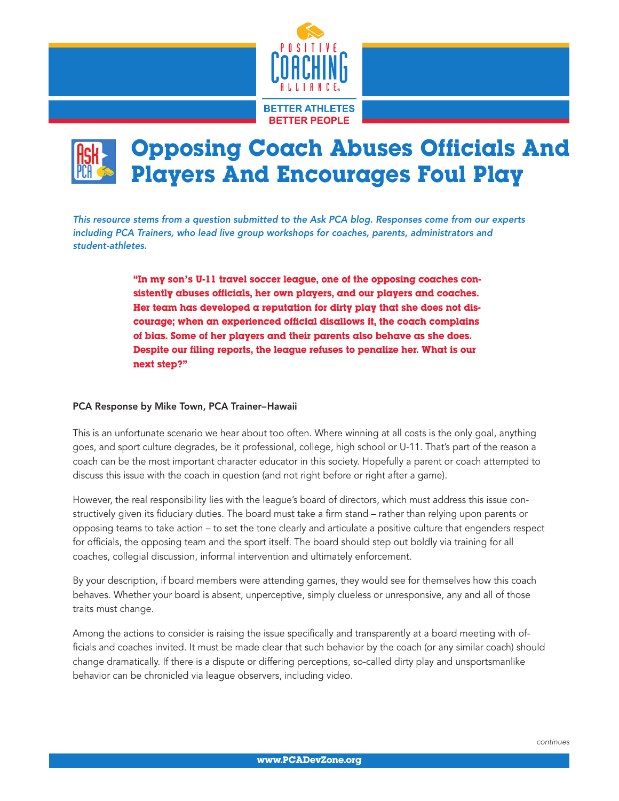



*This resource stems from a question submitted to the Ask PCA blog. Responses come from our experts including PCA Trainers, who lead live group workshops for coaches, parents, administrators and student-athletes.*

> "In my son's U-11 travel soccer league, one of the opposing coaches consistently abuses officials, her own players, and our players and coaches. Her team has developed a reputation for dirty play that she does not discourage; when an experienced official disallows it, the coach complains of bias. Some of her players and their parents also behave as she does. Despite our filing reports, the league refuses to penalize her. What is our next step?"

## PCA Response by Mike Town, PCA Trainer–Hawaii

This is an unfortunate scenario we hear about too often. Where winning at all costs is the only goal, anything goes, and sport culture degrades, be it professional, college, high school or U-11. That's part of the reason a coach can be the most important character educator in this society. Hopefully a parent or coach attempted to discuss this issue with the coach in question (and not right before or right after a game).

However, the real responsibility lies with the league's board of directors, which must address this issue constructively given its fiduciary duties. The board must take a firm stand – rather than relying upon parents or opposing teams to take action – to set the tone clearly and articulate a positive culture that engenders respect for officials, the opposing team and the sport itself. The board should step out boldly via training for all coaches, collegial discussion, informal intervention and ultimately enforcement.

By your description, if board members were attending games, they would see for themselves how this coach behaves. Whether your board is absent, unperceptive, simply clueless or unresponsive, any and all of those traits must change.

Among the actions to consider is raising the issue specifically and transparently at a board meeting with officials and coaches invited. It must be made clear that such behavior by the coach (or any similar coach) should change dramatically. If there is a dispute or differing perceptions, so-called dirty play and unsportsmanlike behavior can be chronicled via league observers, including video.